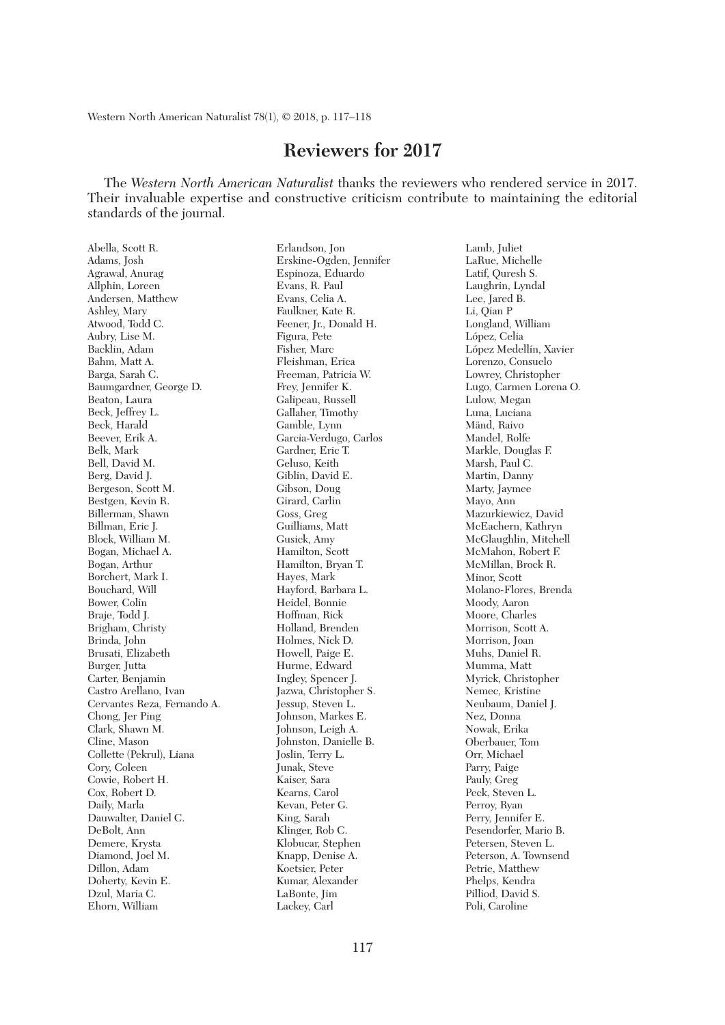Western North American Naturalist 78(1), © 2018, p. 117–118

## **Reviewers for 2017**

 The *Western North American Naturalist* thanks the reviewers who rendered service in 2017. Their invaluable expertise and constructive criticism contribute to maintaining the editorial standards of the journal.

Abella, Scott R. Adams, Josh Agrawal, Anurag Allphin, Loreen Andersen, Matthew Ashley, Mary Atwood, Todd C. Aubry, Lise M. Backlin, Adam Bahm, Matt A. Barga, Sarah C. Baumgardner, George D. Beaton, Laura Beck, Jeffrey L. Beck, Harald Beever, Erik A. Belk, Mark Bell, David M. Berg, David J. Bergeson, Scott M. Bestgen, Kevin R. Billerman, Shawn Billman, Eric J. Block, William M. Bogan, Michael A. Bogan, Arthur Borchert, Mark I. Bouchard, Will Bower, Colin Braje, Todd J. Brigham, Christy Brinda, John Brusati, Elizabeth Burger, Jutta Carter, Benjamin Castro Arellano, Ivan Cervantes Reza, Fernando A. Chong, Jer Ping Clark, Shawn M. Cline, Mason Collette (Pekrul), Liana Cory, Coleen Cowie, Robert H. Cox, Robert D. Daily, Marla Dauwalter, Daniel C. DeBolt, Ann Demere, Krysta Diamond, Joel M. Dillon, Adam Doherty, Kevin E. Dzul, Maria C. Ehorn, William

Erlandson, Jon Erskine-Ogden, Jennifer Espinoza, Eduardo Evans, R. Paul Evans, Celia A. Faulkner, Kate R. Feener, Jr., Donald H. Figura, Pete Fisher, Marc Fleishman, Erica Freeman, Patricia W. Frey, Jennifer K. Galipeau, Russell Gallaher, Timothy Gamble, Lynn Garcia-Verdugo, Carlos Gardner, Eric T. Geluso, Keith Giblin, David E. Gibson, Doug Girard, Carlin Goss, Greg Guilliams, Matt Gusick, Amy Hamilton, Scott Hamilton, Bryan T. Hayes, Mark Hayford, Barbara L. Heidel, Bonnie Hoffman, Rick Holland, Brenden Holmes, Nick D. Howell, Paige E. Hurme, Edward Ingley, Spencer J. Jazwa, Christopher S. Jessup, Steven L. Johnson, Markes E. Johnson, Leigh A. Johnston, Danielle B. Joslin, Terry L. Junak, Steve Kaiser, Sara Kearns, Carol Kevan, Peter G. King, Sarah Klinger, Rob C. Klobucar, Stephen Knapp, Denise A. Koetsier, Peter Kumar, Alexander LaBonte, Jim Lackey, Carl

Lamb, Juliet LaRue, Michelle Latif, Quresh S. Laughrin, Lyndal Lee, Jared B. Li, Qian P Longland, William López, Celia López Medellín, Xavier Lorenzo, Consuelo Lowrey, Christopher Lugo, Carmen Lorena O. Lulow, Megan Luna, Luciana Mänd, Raivo Mandel, Rolfe Markle, Douglas F. Marsh, Paul C. Martin, Danny Marty, Jaymee Mayo, Ann Mazurkiewicz, David McEachern, Kathryn McGlaughlin, Mitchell McMahon, Robert F. McMillan, Brock R. Minor, Scott Molano-Flores, Brenda Moody, Aaron Moore, Charles Morrison, Scott A. Morrison, Joan Muhs, Daniel R. Mumma, Matt Myrick, Christopher Nemec, Kristine Neubaum, Daniel J. Nez, Donna Nowak, Erika Oberbauer, Tom Orr, Michael Parry, Paige Pauly, Greg Peck, Steven L. Perroy, Ryan Perry, Jennifer E. Pesendorfer, Mario B. Petersen, Steven L. Peterson, A. Townsend Petrie, Matthew Phelps, Kendra Pilliod, David S. Poli, Caroline